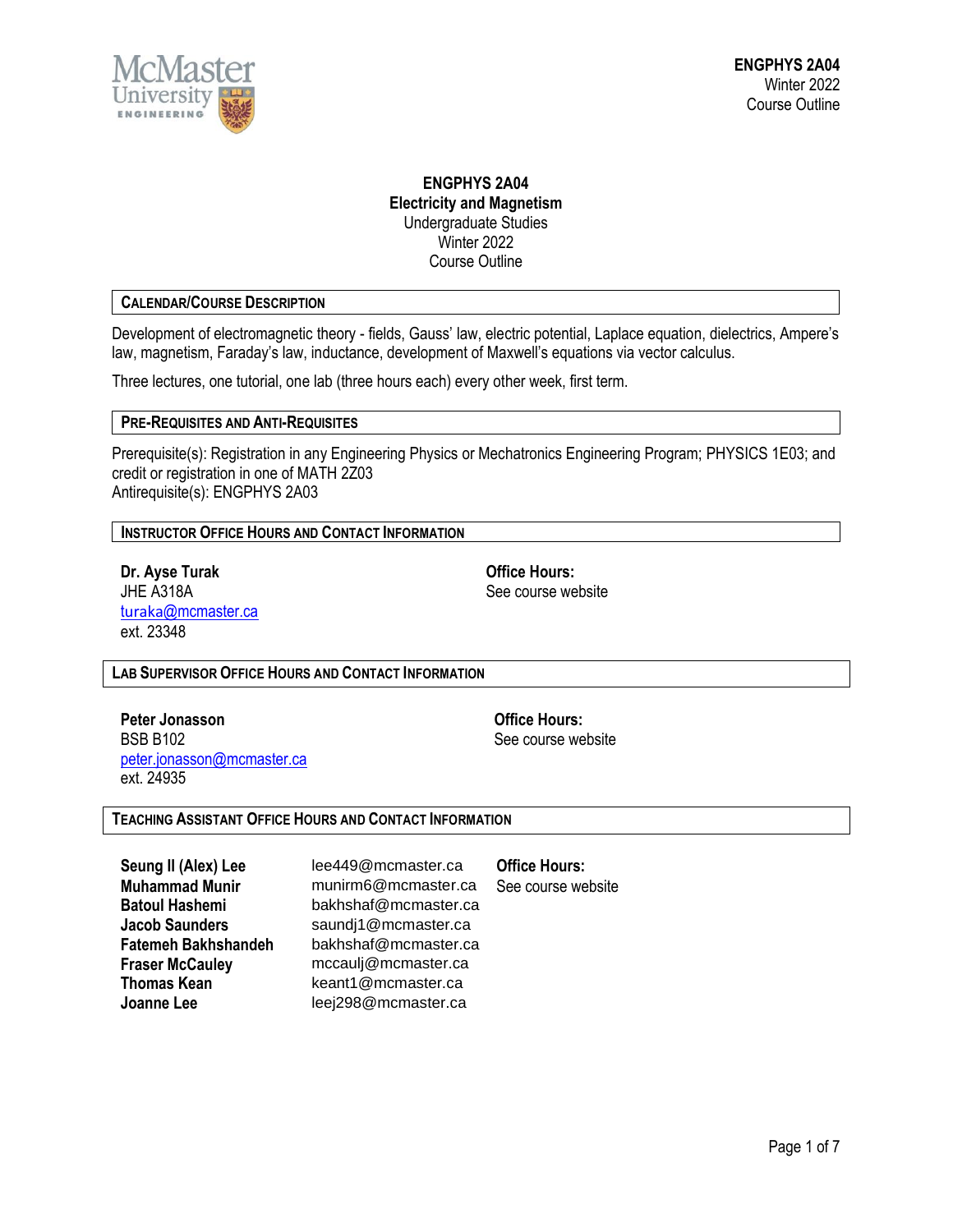

# **ENGPHYS 2A04 Electricity and Magnetism** Undergraduate Studies Winter 2022 Course Outline

# **CALENDAR/COURSE DESCRIPTION**

Development of electromagnetic theory - fields, Gauss' law, electric potential, Laplace equation, dielectrics, Ampere's law, magnetism, Faraday's law, inductance, development of Maxwell's equations via vector calculus.

Three lectures, one tutorial, one lab (three hours each) every other week, first term.

#### **PRE-REQUISITES AND ANTI-REQUISITES**

Prerequisite(s): Registration in any Engineering Physics or Mechatronics Engineering Program; PHYSICS 1E03; and credit or registration in one of MATH 2Z03 Antirequisite(s): ENGPHYS 2A03

**INSTRUCTOR OFFICE HOURS AND CONTACT INFORMATION**

**Dr. Ayse Turak Office Hours:** JHE A318A See course website turaka[@mcmaster.ca](mailto:turaka@mcmaster.ca) ext. 23348

**LAB SUPERVISOR OFFICE HOURS AND CONTACT INFORMATION**

**Peter Jonasson Office Hours:** BSB B102 See course website [peter.jonasson@mcmaster.ca](mailto:peter.jonasson@mcmaster.ca) ext. 24935

#### **TEACHING ASSISTANT OFFICE HOURS AND CONTACT INFORMATION**

**Seung Il (Alex) Lee** lee449@mcmaster.ca **Office Hours: Thomas Kean** keant1@mcmaster.ca

**Muhammad Munir** munirm6@mcmaster.ca See course website **Batoul Hashemi** bakhshaf@mcmaster.ca **Jacob Saunders** saundj1@mcmaster.ca **Fatemeh Bakhshandeh** bakhshaf@mcmaster.ca **Fraser McCauley** mccaulj@mcmaster.ca **Joanne Lee** leej298@mcmaster.ca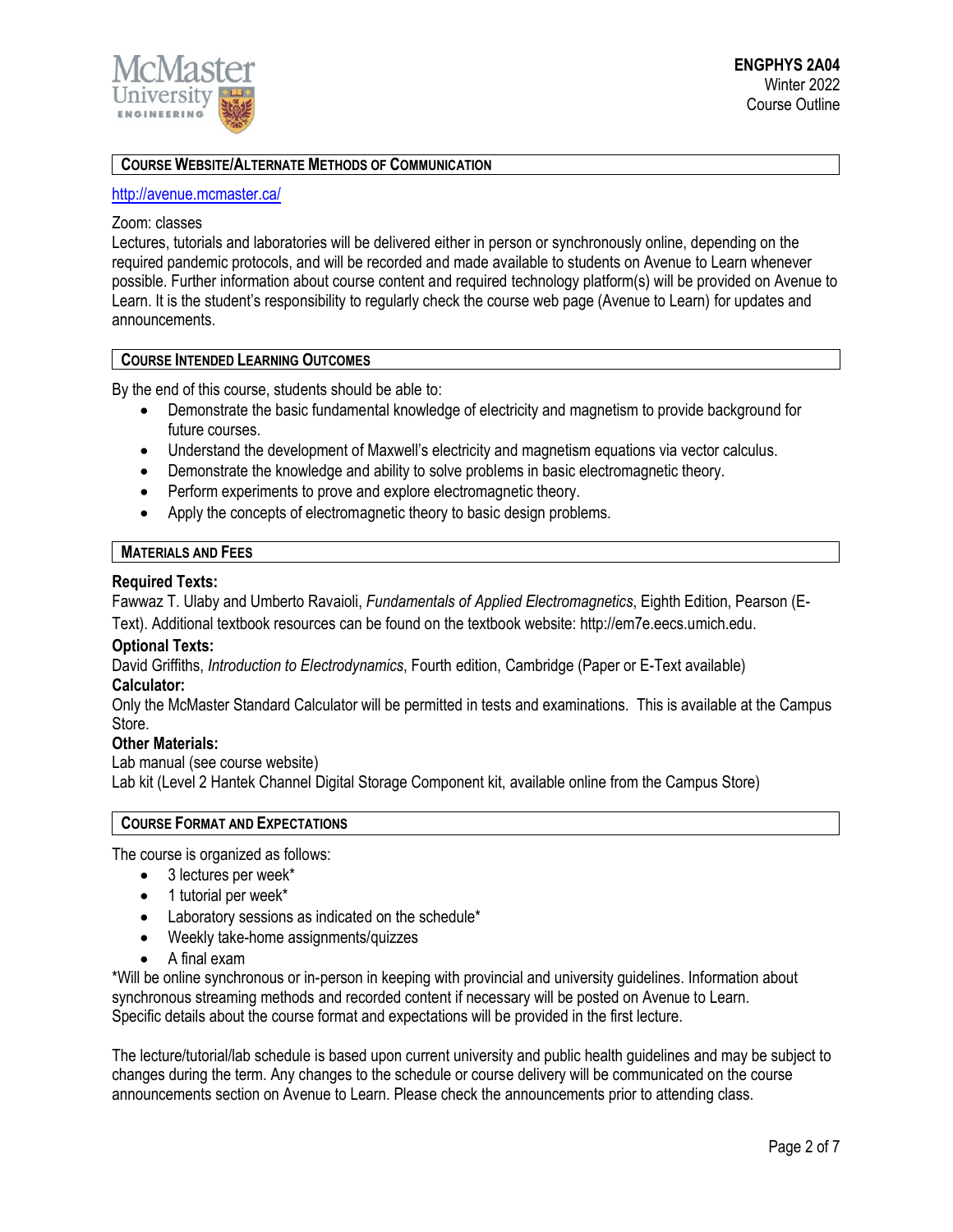

# **COURSE WEBSITE/ALTERNATE METHODS OF COMMUNICATION**

#### <http://avenue.mcmaster.ca/>

## Zoom: classes

Lectures, tutorials and laboratories will be delivered either in person or synchronously online, depending on the required pandemic protocols, and will be recorded and made available to students on Avenue to Learn whenever possible. Further information about course content and required technology platform(s) will be provided on Avenue to Learn. It is the student's responsibility to regularly check the course web page (Avenue to Learn) for updates and announcements.

#### **COURSE INTENDED LEARNING OUTCOMES**

By the end of this course, students should be able to:

- Demonstrate the basic fundamental knowledge of electricity and magnetism to provide background for future courses.
- Understand the development of Maxwell's electricity and magnetism equations via vector calculus.
- Demonstrate the knowledge and ability to solve problems in basic electromagnetic theory.
- Perform experiments to prove and explore electromagnetic theory.
- Apply the concepts of electromagnetic theory to basic design problems.

# **MATERIALS AND FEES**

## **Required Texts:**

Fawwaz T. Ulaby and Umberto Ravaioli, *Fundamentals of Applied Electromagnetics*, Eighth Edition, Pearson (E-

Text). Additional textbook resources can be found on the textbook website: http://em7e.eecs.umich.edu.

#### **Optional Texts:**

David Griffiths, *Introduction to Electrodynamics*, Fourth edition, Cambridge (Paper or E-Text available)

## **Calculator:**

Only the McMaster Standard Calculator will be permitted in tests and examinations. This is available at the Campus Store.

#### **Other Materials:**

Lab manual (see course website)

Lab kit (Level 2 Hantek Channel Digital Storage Component kit, available online from the Campus Store)

#### **COURSE FORMAT AND EXPECTATIONS**

The course is organized as follows:

- 3 lectures per week\*
- 1 tutorial per week\*
- Laboratory sessions as indicated on the schedule\*
- Weekly take-home assignments/quizzes
- A final exam

\*Will be online synchronous or in-person in keeping with provincial and university guidelines. Information about synchronous streaming methods and recorded content if necessary will be posted on Avenue to Learn. Specific details about the course format and expectations will be provided in the first lecture.

The lecture/tutorial/lab schedule is based upon current university and public health guidelines and may be subject to changes during the term. Any changes to the schedule or course delivery will be communicated on the course announcements section on Avenue to Learn. Please check the announcements prior to attending class.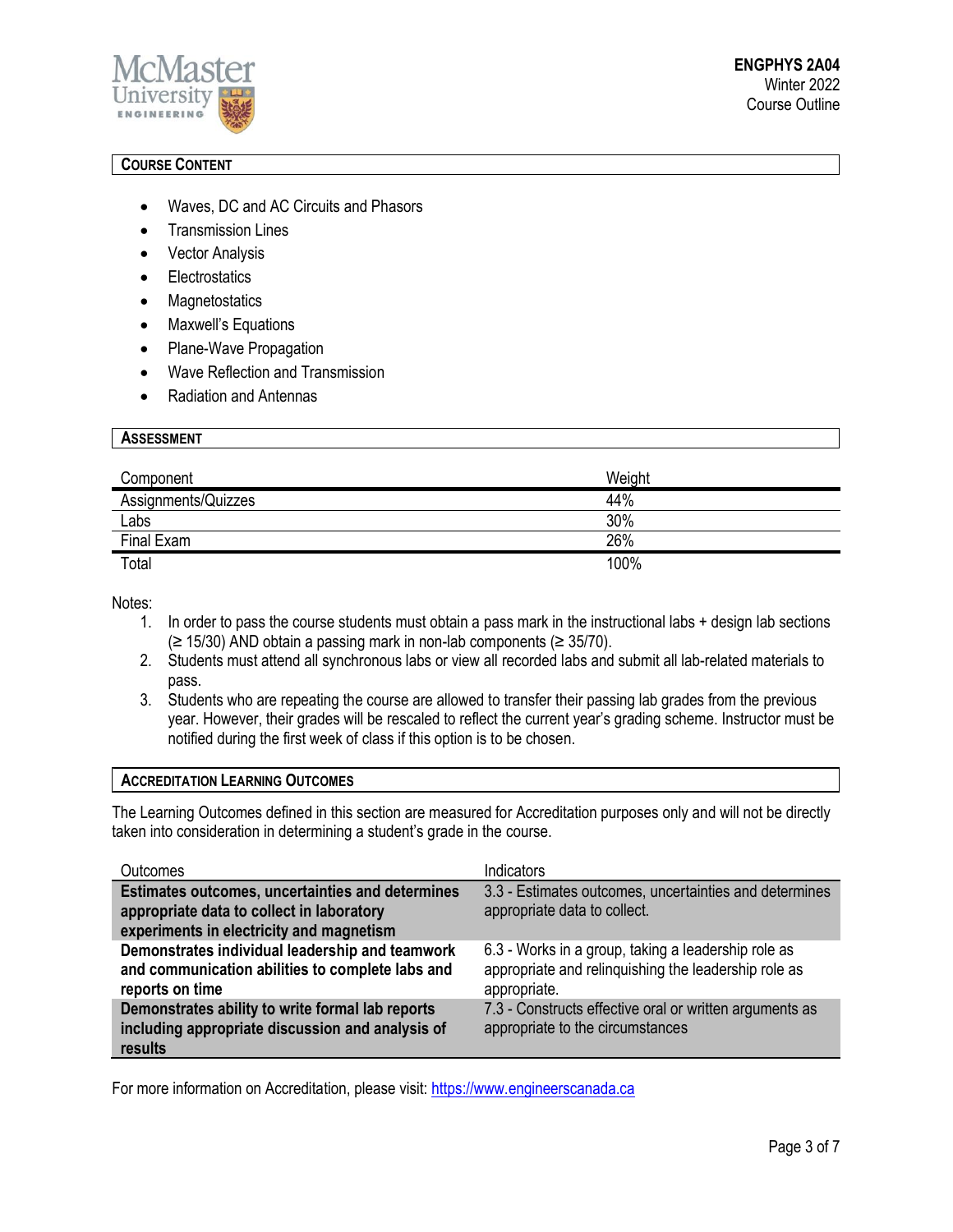

# **COURSE CONTENT**

- Waves, DC and AC Circuits and Phasors
- **Transmission Lines**
- Vector Analysis
- Electrostatics
- Magnetostatics
- Maxwell's Equations
- Plane-Wave Propagation
- Wave Reflection and Transmission
- Radiation and Antennas

| <b>ASSESSMENT</b>   |        |
|---------------------|--------|
|                     |        |
| Component           | Weight |
| Assignments/Quizzes | 44%    |
| Labs                | 30%    |
| Final Exam          | 26%    |
| Total               | 100%   |

Notes:

- 1. In order to pass the course students must obtain a pass mark in the instructional labs + design lab sections (≥ 15/30) AND obtain a passing mark in non-lab components (≥ 35/70).
- 2. Students must attend all synchronous labs or view all recorded labs and submit all lab-related materials to pass.
- 3. Students who are repeating the course are allowed to transfer their passing lab grades from the previous year. However, their grades will be rescaled to reflect the current year's grading scheme. Instructor must be notified during the first week of class if this option is to be chosen.

#### **ACCREDITATION LEARNING OUTCOMES**

The Learning Outcomes defined in this section are measured for Accreditation purposes only and will not be directly taken into consideration in determining a student's grade in the course.

| <b>Outcomes</b>                                                                                                                           | Indicators                                                                                                                  |
|-------------------------------------------------------------------------------------------------------------------------------------------|-----------------------------------------------------------------------------------------------------------------------------|
| Estimates outcomes, uncertainties and determines<br>appropriate data to collect in laboratory<br>experiments in electricity and magnetism | 3.3 - Estimates outcomes, uncertainties and determines<br>appropriate data to collect.                                      |
| Demonstrates individual leadership and teamwork<br>and communication abilities to complete labs and<br>reports on time                    | 6.3 - Works in a group, taking a leadership role as<br>appropriate and relinquishing the leadership role as<br>appropriate. |
| Demonstrates ability to write formal lab reports<br>including appropriate discussion and analysis of<br>results                           | 7.3 - Constructs effective oral or written arguments as<br>appropriate to the circumstances                                 |

For more information on Accreditation, please visit: [https://www.engineerscanada.ca](https://www.engineerscanada.ca/)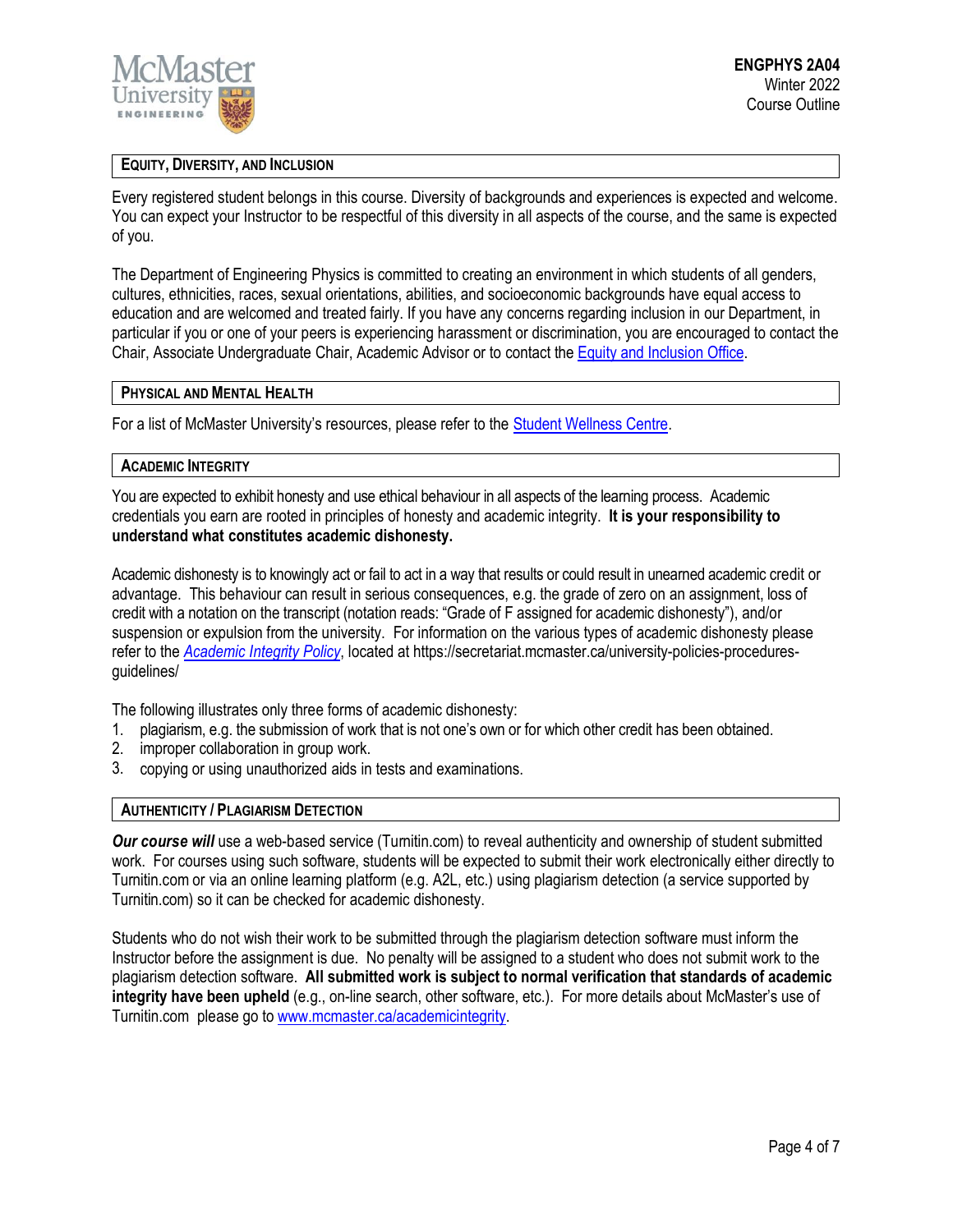

## **EQUITY, DIVERSITY, AND INCLUSION**

Every registered student belongs in this course. Diversity of backgrounds and experiences is expected and welcome. You can expect your Instructor to be respectful of this diversity in all aspects of the course, and the same is expected of you.

The Department of Engineering Physics is committed to creating an environment in which students of all genders, cultures, ethnicities, races, sexual orientations, abilities, and socioeconomic backgrounds have equal access to education and are welcomed and treated fairly. If you have any concerns regarding inclusion in our Department, in particular if you or one of your peers is experiencing harassment or discrimination, you are encouraged to contact the Chair, Associate Undergraduate Chair, Academic Advisor or to contact the Equity and [Inclusion](https://equity.mcmaster.ca/) Office.

## **PHYSICAL AND MENTAL HEALTH**

For a list of McMaster University's resources, please refer to the [Student Wellness Centre.](https://wellness.mcmaster.ca/)

#### **ACADEMIC INTEGRITY**

You are expected to exhibit honesty and use ethical behaviour in all aspects of the learning process. Academic credentials you earn are rooted in principles of honesty and academic integrity. **It is your responsibility to understand what constitutes academic dishonesty.**

Academic dishonesty is to knowingly act or fail to act in a way that results or could result in unearned academic credit or advantage. This behaviour can result in serious consequences, e.g. the grade of zero on an assignment, loss of credit with a notation on the transcript (notation reads: "Grade of F assigned for academic dishonesty"), and/or suspension or expulsion from the university. For information on the various types of academic dishonesty please refer to the *[Academic Integrity Policy](https://secretariat.mcmaster.ca/app/uploads/Academic-Integrity-Policy-1-1.pdf)*[,](https://secretariat.mcmaster.ca/app/uploads/Academic-Integrity-Policy-1-1.pdf) located at https://secretariat.mcmaster.ca/university-policies-proceduresguidelines/

The following illustrates only three forms of academic dishonesty:

- 1. plagiarism, e.g. the submission of work that is not one's own or for which other credit has been obtained.
- 2. improper collaboration in group work.
- 3. copying or using unauthorized aids in tests and examinations.

#### **AUTHENTICITY / PLAGIARISM DETECTION**

*Our course will* use a web-based service (Turnitin.com) to reveal authenticity and ownership of student submitted work. For courses using such software, students will be expected to submit their work electronically either directly to Turnitin.com or via an online learning platform (e.g. A2L, etc.) using plagiarism detection (a service supported by Turnitin.com) so it can be checked for academic dishonesty.

Students who do not wish their work to be submitted through the plagiarism detection software must inform the Instructor before the assignment is due. No penalty will be assigned to a student who does not submit work to the plagiarism detection software. **All submitted work is subject to normal verification that standards of academic integrity have been upheld** (e.g., on-line search, other software, etc.). For more details about McMaster's use of Turnitin.com please go t[o www.mcmaster.ca/academicintegrity.](http://www.mcmaster.ca/academicintegrity)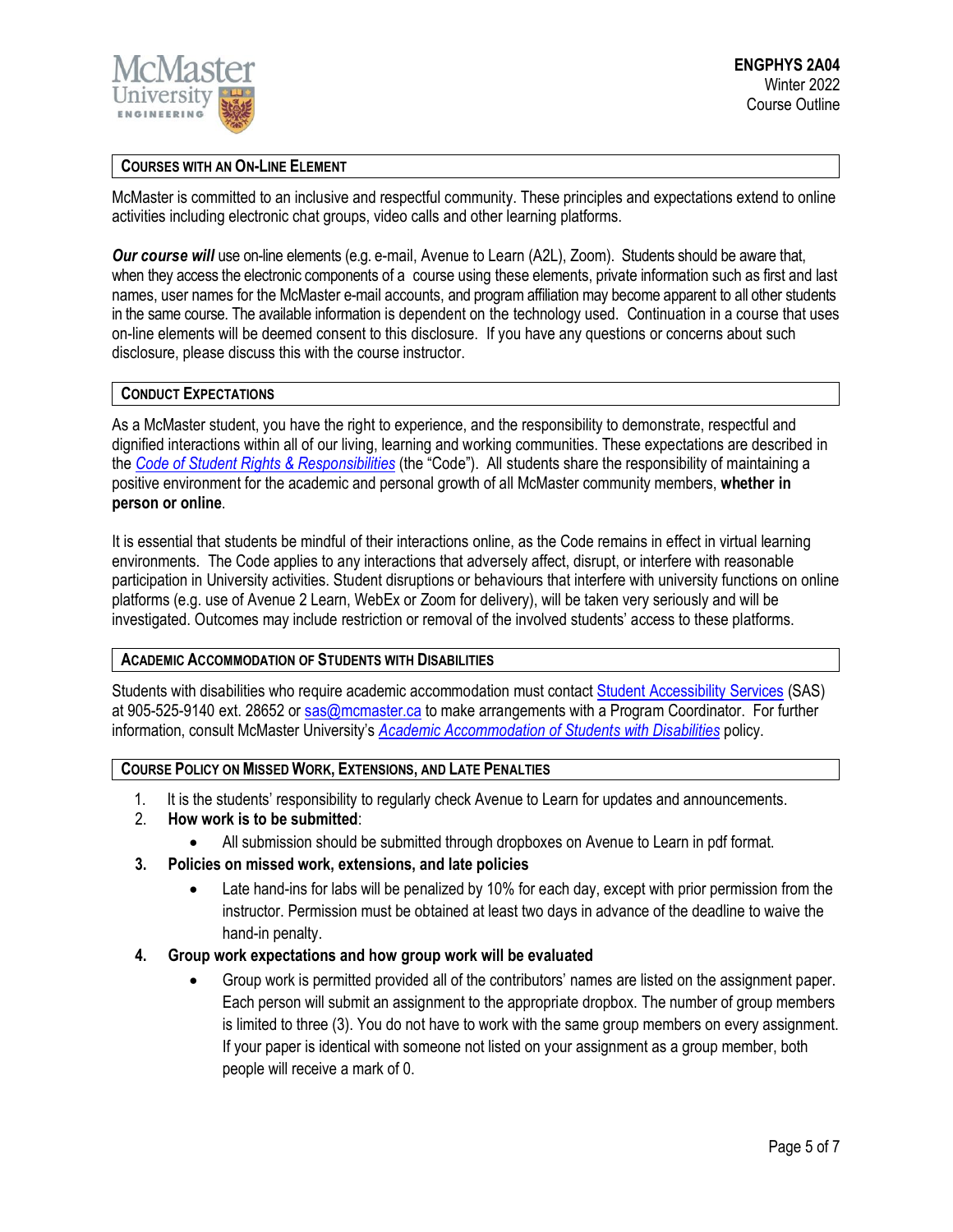

## **COURSES WITH AN ON-LINE ELEMENT**

McMaster is committed to an inclusive and respectful community. These principles and expectations extend to online activities including electronic chat groups, video calls and other learning platforms.

*Our course will* use on-line elements (e.g. e-mail, Avenue to Learn (A2L), Zoom). Students should be aware that, when they access the electronic components of a course using these elements, private information such as first and last names, user names for the McMaster e-mail accounts, and program affiliation may become apparent to all other students in the same course. The available information is dependent on the technology used. Continuation in a course that uses on-line elements will be deemed consent to this disclosure. If you have any questions or concerns about such disclosure, please discuss this with the course instructor.

## **CONDUCT EXPECTATIONS**

As a McMaster student, you have the right to experience, and the responsibility to demonstrate, respectful and dignified interactions within all of our living, learning and working communities. These expectations are described in the *Code of Student Rights & [Responsibilities](https://secretariat.mcmaster.ca/app/uploads/Code-of-Student-Rights-and-Responsibilities.pdf)* (the "Code"). All students share the responsibility of maintaining a positive environment for the academic and personal growth of all McMaster community members, **whether in person or online**.

It is essential that students be mindful of their interactions online, as the Code remains in effect in virtual learning environments. The Code applies to any interactions that adversely affect, disrupt, or interfere with reasonable participation in University activities. Student disruptions or behaviours that interfere with university functions on online platforms (e.g. use of Avenue 2 Learn, WebEx or Zoom for delivery), will be taken very seriously and will be investigated. Outcomes may include restriction or removal of the involved students' access to these platforms.

## **ACADEMIC ACCOMMODATION OF STUDENTS WITH DISABILITIES**

Students with disabilities who require academic accommodation must contact Student [Accessibility Services](https://sas.mcmaster.ca/) (SAS) at 905-525-9140 ext. 28652 or [sas@mcmaster.ca](mailto:sas@mcmaster.ca) to make arrangements with a Program Coordinator. For further information, consult McMaster University's *[Academic Accommodation](https://secretariat.mcmaster.ca/app/uploads/Academic-Accommodations-Policy.pdf) of Students with Disabilities* policy.

# **COURSE POLICY ON MISSED WORK, EXTENSIONS, AND LATE PENALTIES**

- 1. It is the students' responsibility to regularly check Avenue to Learn for updates and announcements.
- 2. **How work is to be submitted**:
	- All submission should be submitted through dropboxes on Avenue to Learn in pdf format.
- **3. Policies on missed work, extensions, and late policies**
	- Late hand-ins for labs will be penalized by 10% for each day, except with prior permission from the instructor. Permission must be obtained at least two days in advance of the deadline to waive the hand-in penalty.
- **4. Group work expectations and how group work will be evaluated**
	- Group work is permitted provided all of the contributors' names are listed on the assignment paper. Each person will submit an assignment to the appropriate dropbox. The number of group members is limited to three (3). You do not have to work with the same group members on every assignment. If your paper is identical with someone not listed on your assignment as a group member, both people will receive a mark of 0.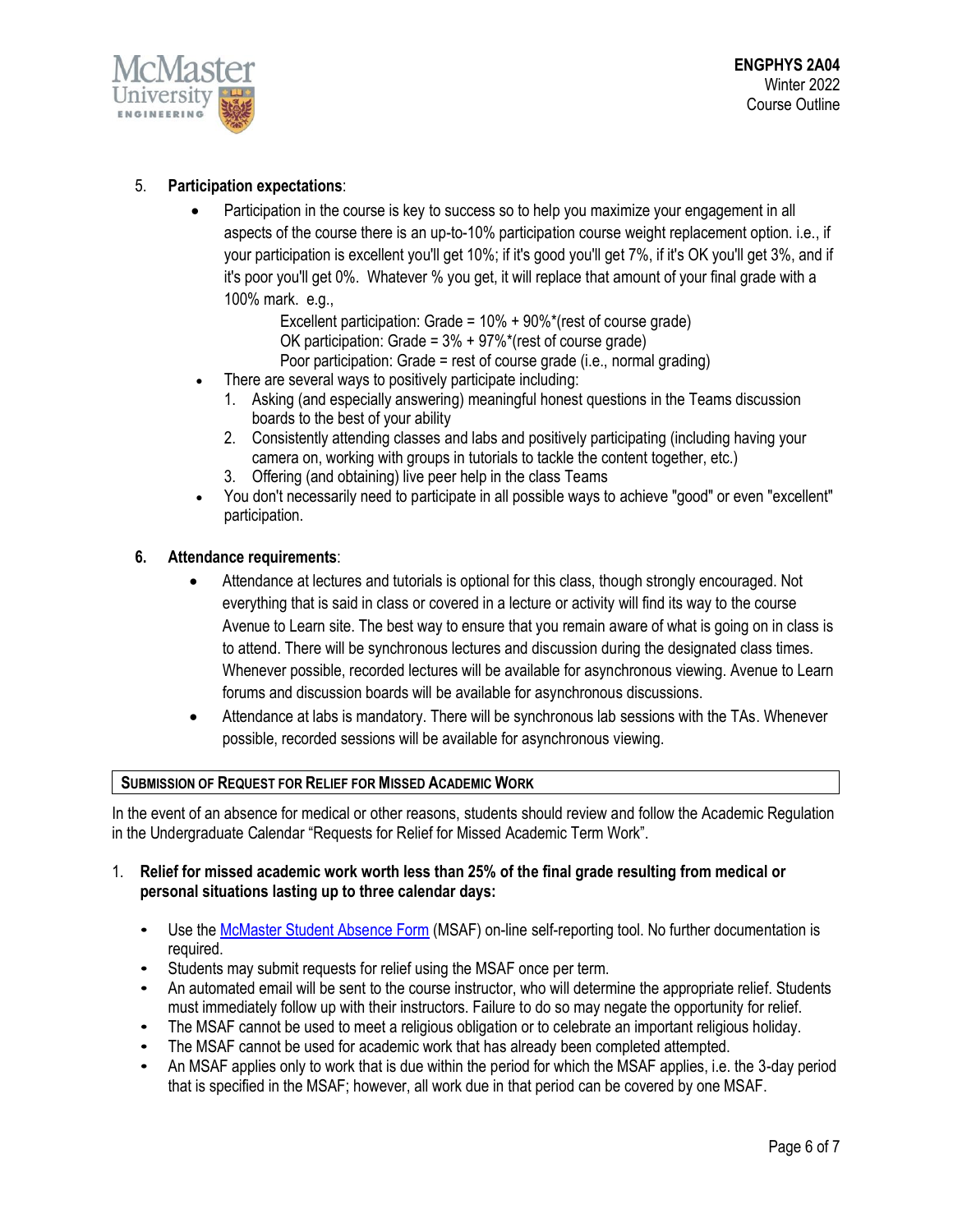

# 5. **Participation expectations**:

• Participation in the course is key to success so to help you maximize your engagement in all aspects of the course there is an up-to-10% participation course weight replacement option. i.e., if your participation is excellent you'll get 10%; if it's good you'll get 7%, if it's OK you'll get 3%, and if it's poor you'll get 0%. Whatever % you get, it will replace that amount of your final grade with a 100% mark. e.g.,

Excellent participation: Grade = 10% + 90%\*(rest of course grade) OK participation: Grade = 3% + 97%\*(rest of course grade)

Poor participation: Grade = rest of course grade (i.e., normal grading)

- There are several ways to positively participate including:
	- 1. Asking (and especially answering) meaningful honest questions in the Teams discussion boards to the best of your ability
	- 2. Consistently attending classes and labs and positively participating (including having your camera on, working with groups in tutorials to tackle the content together, etc.)
	- 3. Offering (and obtaining) live peer help in the class Teams
- You don't necessarily need to participate in all possible ways to achieve "good" or even "excellent" participation.

# **6. Attendance requirements**:

- Attendance at lectures and tutorials is optional for this class, though strongly encouraged. Not everything that is said in class or covered in a lecture or activity will find its way to the course Avenue to Learn site. The best way to ensure that you remain aware of what is going on in class is to attend. There will be synchronous lectures and discussion during the designated class times. Whenever possible, recorded lectures will be available for asynchronous viewing. Avenue to Learn forums and discussion boards will be available for asynchronous discussions.
- Attendance at labs is mandatory. There will be synchronous lab sessions with the TAs. Whenever possible, recorded sessions will be available for asynchronous viewing.

## **SUBMISSION OF REQUEST FOR RELIEF FOR MISSED ACADEMIC WORK**

In the event of an absence for medical or other reasons, students should review and follow the Academic Regulation in the Undergraduate Calendar "Requests for Relief for Missed Academic Term Work".

# 1. **Relief for missed academic work worth less than 25% of the final grade resulting from medical or personal situations lasting up to three calendar days:**

- Use th[e McMaster Student Absence Form](http://mcmaster.ca/msaf/) (MSAF) on-line self-reporting tool. No further documentation is required.
- Students may submit requests for relief using the MSAF once per term.
- An automated email will be sent to the course instructor, who will determine the appropriate relief. Students must immediately follow up with their instructors. Failure to do so may negate the opportunity for relief.
- The MSAF cannot be used to meet a religious obligation or to celebrate an important religious holiday.
- The MSAF cannot be used for academic work that has already been completed attempted.
- An MSAF applies only to work that is due within the period for which the MSAF applies, i.e. the 3-day period that is specified in the MSAF; however, all work due in that period can be covered by one MSAF.